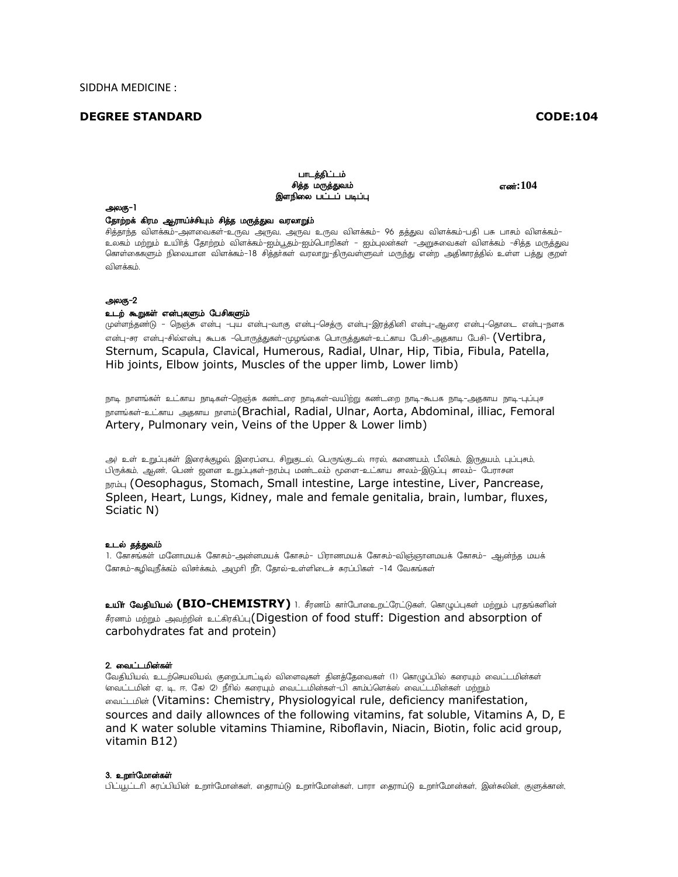## **DEGREE STANDARD**

# **CODE:104**

### பாடத்திட்டம் சித்த மருத்துவம் இளநிலை பட்டப் படிப்பு

எண்:104

#### அலகு-1

## தோற்றக் கிரம ஆராய்ச்சியும் சித்த மருத்துவ வரலாறும்

.<br>சித்தாந்த விளக்கம்-அளவைகள்-உருவ அருவ, அருவ உருவ விளக்கம்– 96 தத்துவ விளக்கம்-பதி பசு பாசும் விளக்கம்– உலகம் மற்றும் உயிாத் தோற்றம் விளக்கம்–ஐம்பூதம்–ஐம்பொறிகள் – ஐம்புலன்கள் –அறுசுவைகள் விளக்கம் –சித்த மருத்துவ கொள்கைகளும் நிலையான விளக்கம்–18 சித்தாகள் வரலாறு–திருவள்ளுவா் மருந்து என்ற அதிகாரத்தில் உள்ள பத்து குறள் விளக்கம்.

## அலகு-2

# உடற் கூறுகள் என்புகளும் பேசிகளும்

முள்ளந்தண்டு – நெஞ்சு என்பு -புய என்பு-வாகு என்பு-செத்ரு என்பு-இரத்தினி என்பு-ஆரை என்பு-தொடை என்பு-நளக என்பு-சர என்பு-சில்என்பு கூபக –பொருத்துகள்–முழங்கை பொருத்துகள்–உட்காய பேசி–அதகாய பேசி– **(Vertibra,** Sternum, Scapula, Clavical, Humerous, Radial, Ulnar, Hip, Tibia, Fibula, Patella, Hib joints, Elbow joints, Muscles of the upper limb, Lower limb)

நாடி நாளங்கள் உட்காய நாடிகள்-நெஞ்சு கண்டரை நாடிகள்-வயிற்று கண்டறை நாடி-கூபக நாடி-அதகாய நாடி-புப்புச நாளங்கள்-உட்காய அககாய நாளம்(Brachial, Radial, Ulnar, Aorta, Abdominal, illiac, Femoral Artery, Pulmonary vein, Veins of the Upper & Lower limb)

அ) உள் உறுப்புகள் இரைக்குமல் இரைப்பை, சிறுகுடல், பெருங்குடல், ஈரல், கணையம், பீலிகம், இருகுயம், புப்புசம், பிருக்கம், ஆண், பெண் ஜனன உறுப்புகள்–நரம்பு மண்டலம் மூளை–உட்காய சாலம்–இடுப்பு சாலம்– பேராசன நரம்பு (Oesophagus, Stomach, Small intestine, Large intestine, Liver, Pancrease, Spleen, Heart, Lungs, Kidney, male and female genitalia, brain, lumbar, fluxes, Sciatic N)

# உடல் தத்துவம்

1. கோசங்கள் மனோமயக் கோசம்–அன்னமயக் கோசம்– பிராணமயக் கோசம்–விஞ்ஞானமயக் கோசம்– ஆன்ந்த மயக் கோசம்-கழிவுநீக்கம் விசர்க்கம், அமுரி நீர், தோல்-உள்ளிடைச் சுரப்பிகள் -14 வேகங்கள்

உ**யிர் வேதியியல் (BIO-CHEMISTRY)** 1. சீரணம் கார்போஉைறட்ரேட்டுகள், கொழுப்புகள் மற்றும் புரதங்களின் சீரணம் மற்றும் அவற்றின் உட்கிரகிப்பு(Digestion of food stuff: Digestion and absorption of carbohydrates fat and protein)

#### 2. வைட்டமின்கள்

வேதியியல், உடற்செயலியல், குறைப்பாட்டில் விளைவுகள் தினத்தேவைகள் (1) கொழுப்பில் கரையும் வைட்டமின்கள் (வைட்டமின் ஏ, டி, ஈ, கே) (2) நீரில் கரையும் வைட்டமின்கள்-பி காம்ப்ளெக்ஸ் வைட்டமின்கள் மற்றும் லைட்டமின் (Vitamins: Chemistry, Physiologyical rule, deficiency manifestation, sources and daily allownces of the following vitamins, fat soluble, Vitamins A, D, E and K water soluble vitamins Thiamine, Riboflavin, Niacin, Biotin, folic acid group, vitamin B12)

#### 3. உறார்மோன்கள்

் பிட்யூட்டரி சுரப்பியின் உறாாமோன்கள், தைராய்டு உறாாமோன்கள், பாரா தைராய்டு உறாாமோன்கள், இன்சுலின், குளுக்கான்,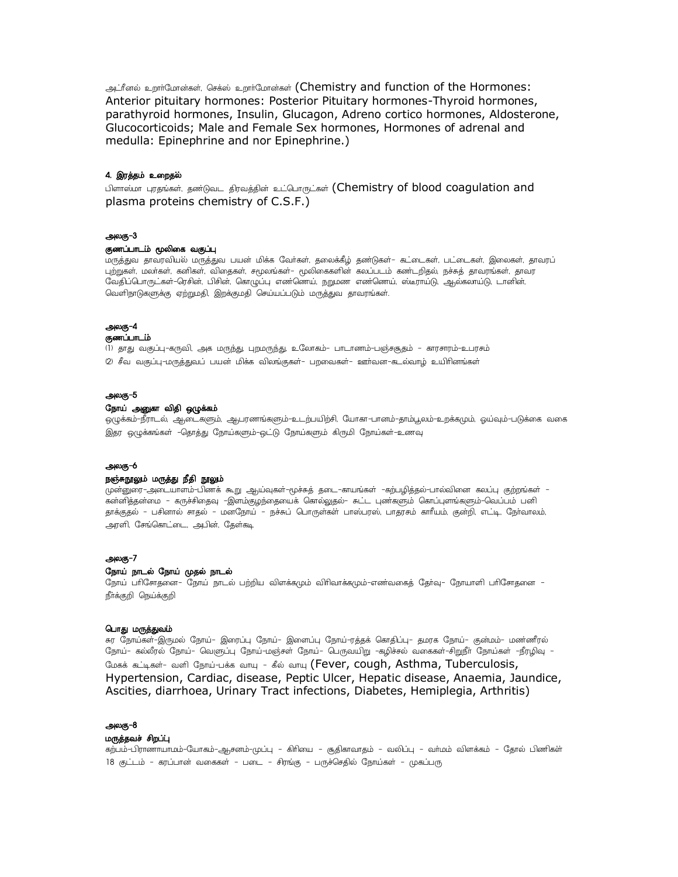ابوج شَنَة; مَسَأَلَمِنَ and function of the Hormones: Anterior pituitary hormones: Posterior Pituitary hormones-Thyroid hormones, parathyroid hormones, Insulin, Glucagon, Adreno cortico hormones, Aldosterone, Glucocorticoids; Male and Female Sex hormones, Hormones of adrenal and medulla: Epinephrine and nor Epinephrine.)

### 4. இரத்தம் உறைதல்

பிளாஸ்மா புரதங்கள், தண்டுவட திரவத்தின் உட்பொருட்கள் (Chemistry of blood coagulation and plasma proteins chemistry of C.S.F.)

### அலகு-3

## குணப்பாடம் மூலிகை வகுப்பு

மருத்துவ தாவரவியல் மருத்துவ பயன் மிக்க வோகள், தலைக்கீழ் தண்டுகள்– கட்டைகள், பட்டைகள், இலைகள், தாவரப் புற்றுகள், மலாகள், கனிகள், விதைகள், சமூலங்கள்– மூலிகைகளின் கலப்படம் கண்டறிதல், நச்சுத் தாவரங்கள், தாவர வேதிப்பொருட்கள்–ரெசின், பிசின், கொழுப்பு எண்ணெய், நறுமண எண்ணெய், ஸ்டீராய்டு, ஆல்கலாய்டு, டானின், வெளிநாடுகளுக்கு ஏற்றுமதி, இறக்குமதி செய்யப்படும் மருத்துவ தாவரங்கள்.

### அலகு-4

## குணப்பாடம்

(1) தாது வகுப்பு–கருவி, அக மருந்து, புறமருந்து, உலோகம்– பாடாணம்–பஞ்சசூதம் – காரசாரம்–உபரசம் (2) சீவ வகுப்பு–மருத்துவப் பயன் மிக்க விலங்குகள்– பறவைகள்– ஊாவன–கடல்வாழ் உயிாினங்கள்

## அலகு-5

### நோய் அனுகா விதி ஒழுக்கம்

ஒழுக்கம்–நீராடல், ஆடைகளும், ஆபரணங்களும்–உடற்பயிற்சி, யோகா–பானம்–தாம்பூலம்–உறக்கமும், ஓய்வும்–படுக்கை வகை இதர ஒழுக்கங்கள் -தொத்து நோய்களும்-ஒட்டு நோய்களும் கிருமி நோய்கள்-உணவு

### அலகு-6

### நஞ்சுநூலும் மருத்து நீதி நூலும்

முன்னுரை–அடையாளம்–பிணக் கூறு ஆய்வுகள்–மூச்சுத் தடை–காயங்கள் –கற்பழித்தல்–பால்வினை கலப்பு குற்றங்கள் – கன்னித்தன்மை – கருச்சிதைவு –இளம்குழந்தையைக் கொல்லுதல்– சுட்ட புண்களும் கொப்புளங்களும்–வெப்பம் பனி தாக்குதல் – பசினால் சாதல் – மனநோய் – நச்சுப் பொருள்கள் பாஸ்பரஸ், பாதரசம் காரீயம், குன்றி, எட்டி, நோவாலம், அரளி, சேங்கொட்டை, அபின், தேள்கடி

#### அலகு-7

### நோய் நாடல் நோய் முதல் நாடல்

நோய் பரிசோதனை– நோய் நாடல் பற்றிய விளக்கமும் விரிவாக்கமும்–எணவகைத் தோ்வு– நோயாளி பரிசோதனை – நீா்க்குறி நெய்க்குறி

#### பொது மருத்துவம்

சுர நோய்கள்–இருமல் நோய்– இரைப்பு நோய்– இளைப்பு நோய்–ரத்தக் கொதிப்பு– தமரக நோய்– குன்மம்– மண்ணீரல் நோய்– கல்லீரல் நோய்– வெளுப்பு நோய்–மஞ்சள் நோய்– பெருவயிறு –கழிச்சல் வகைகள்–சிறுநீா நோய்கள் –நீரழிவு – மேகக் கட்டிகள்- வளி நோய்-பக்க வாயு - கீல் வாயு (Fever, cough, Asthma, Tuberculosis, Hypertension, Cardiac, disease, Peptic Ulcer, Hepatic disease, Anaemia, Jaundice, Ascities, diarrhoea, Urinary Tract infections, Diabetes, Hemiplegia, Arthritis)

### அலகு–8

#### மருத்தவச் சிறப்பு

கற்பம்-பிராணாயாமம்-யோகம்-ஆசனம்-முப்பு – கிரியை – சூதிகாவாதம் – வலிப்பு – வாமம் விளக்கம் – தோல் பிணிகள் 18 குட்டம் - கரப்பான் வகைகள் - படை - சிரங்கு - பருச்செதில் நோய்கள் - முகப்பரு